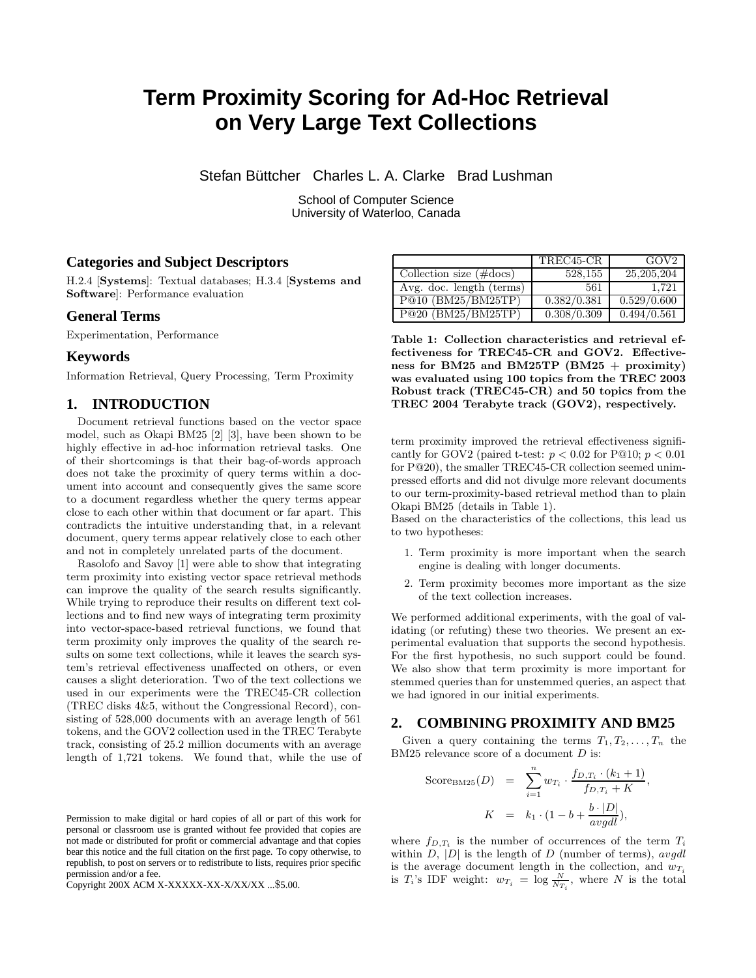# **Term Proximity Scoring for Ad-Hoc Retrieval on Very Large Text Collections**

Stefan Büttcher Charles L. A. Clarke Brad Lushman

School of Computer Science University of Waterloo, Canada

## **Categories and Subject Descriptors**

H.2.4 [Systems]: Textual databases; H.3.4 [Systems and Software]: Performance evaluation

#### **General Terms**

Experimentation, Performance

## **Keywords**

Information Retrieval, Query Processing, Term Proximity

## **1. INTRODUCTION**

Document retrieval functions based on the vector space model, such as Okapi BM25 [2] [3], have been shown to be highly effective in ad-hoc information retrieval tasks. One of their shortcomings is that their bag-of-words approach does not take the proximity of query terms within a document into account and consequently gives the same score to a document regardless whether the query terms appear close to each other within that document or far apart. This contradicts the intuitive understanding that, in a relevant document, query terms appear relatively close to each other and not in completely unrelated parts of the document.

Rasolofo and Savoy [1] were able to show that integrating term proximity into existing vector space retrieval methods can improve the quality of the search results significantly. While trying to reproduce their results on different text collections and to find new ways of integrating term proximity into vector-space-based retrieval functions, we found that term proximity only improves the quality of the search results on some text collections, while it leaves the search system's retrieval effectiveness unaffected on others, or even causes a slight deterioration. Two of the text collections we used in our experiments were the TREC45-CR collection (TREC disks 4&5, without the Congressional Record), consisting of 528,000 documents with an average length of 561 tokens, and the GOV2 collection used in the TREC Terabyte track, consisting of 25.2 million documents with an average length of 1,721 tokens. We found that, while the use of

Permission to make digital or hard copies of all or part of this work for personal or classroom use is granted without fee provided that copies are not made or distributed for profit or commercial advantage and that copies bear this notice and the full citation on the first page. To copy otherwise, to republish, to post on servers or to redistribute to lists, requires prior specific permission and/or a fee.

Copyright 200X ACM X-XXXXX-XX-X/XX/XX ...\$5.00.

|                                   | TREC45-CR   | GOV <sub>2</sub>         |
|-----------------------------------|-------------|--------------------------|
| Collection size $(\text{\#docs})$ | 528.155     | 25, 205, 204             |
| Avg. doc. length (terms)          | 561         | 1.721                    |
| P@10 (BM25/BM25TP)                | 0.382/0.381 | 0.529/0.600              |
| P@20(BM25/BM25TP)                 | 0.308/0.309 | $\overline{0.494}/0.561$ |

Table 1: Collection characteristics and retrieval effectiveness for TREC45-CR and GOV2. Effectiveness for BM25 and BM25TP (BM25 + proximity) was evaluated using 100 topics from the TREC 2003 Robust track (TREC45-CR) and 50 topics from the TREC 2004 Terabyte track (GOV2), respectively.

term proximity improved the retrieval effectiveness significantly for GOV2 (paired t-test:  $p < 0.02$  for P@10;  $p < 0.01$ for P@20), the smaller TREC45-CR collection seemed unimpressed efforts and did not divulge more relevant documents to our term-proximity-based retrieval method than to plain Okapi BM25 (details in Table 1).

Based on the characteristics of the collections, this lead us to two hypotheses:

- 1. Term proximity is more important when the search engine is dealing with longer documents.
- 2. Term proximity becomes more important as the size of the text collection increases.

We performed additional experiments, with the goal of validating (or refuting) these two theories. We present an experimental evaluation that supports the second hypothesis. For the first hypothesis, no such support could be found. We also show that term proximity is more important for stemmed queries than for unstemmed queries, an aspect that we had ignored in our initial experiments.

## **2. COMBINING PROXIMITY AND BM25**

Given a query containing the terms  $T_1, T_2, \ldots, T_n$  the BM25 relevance score of a document D is:

$$
\begin{array}{rcl}\n\text{Score}_{\text{BM25}}(D) & = & \sum_{i=1}^{n} w_{T_i} \cdot \frac{f_{D,T_i} \cdot (k_1 + 1)}{f_{D,T_i} + K}, \\
K & = & k_1 \cdot (1 - b + \frac{b \cdot |D|}{avgdl}),\n\end{array}
$$

where  $f_{D,T_i}$  is the number of occurrences of the term  $T_i$ within  $D$ ,  $|D|$  is the length of  $D$  (number of terms), avgall is the average document length in the collection, and  $w_{T_i}$ is  $T_i$ 's IDF weight:  $w_{T_i} = \log \frac{N}{N_{T_i}}$ , where N is the total